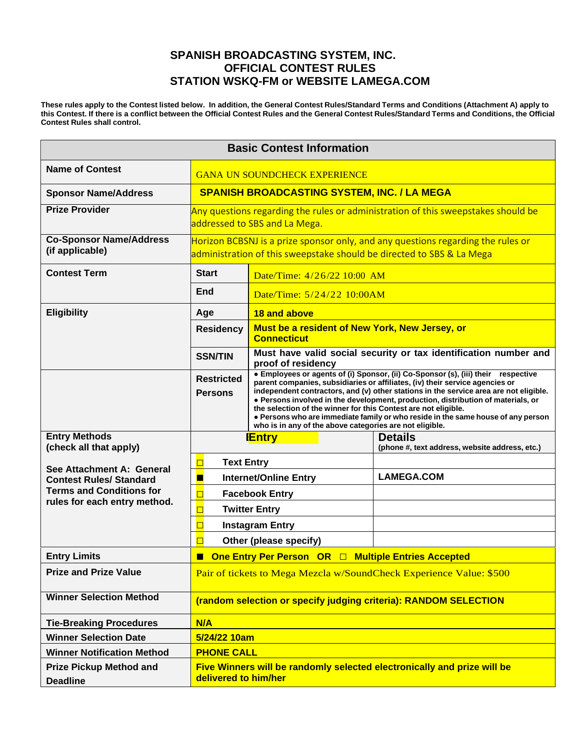## **SPANISH BROADCASTING SYSTEM, INC. OFFICIAL CONTEST RULES STATION WSKQ-FM or WEBSITE LAMEGA.COM**

These rules apply to the Contest listed below. In addition, the General Contest Rules/Standard Terms and Conditions (Attachment A) apply to this Contest. If there is a conflict between the Official Contest Rules and the General Contest Rules/Standard Terms and Conditions, the Official **Contest Rules shall control.**

| <b>Basic Contest Information</b>                                                                                               |                                                                                                                                                           |                                                                                                                                                                                                                                                                                                                                                                                                                                                                                                                                                                 |                                                                  |
|--------------------------------------------------------------------------------------------------------------------------------|-----------------------------------------------------------------------------------------------------------------------------------------------------------|-----------------------------------------------------------------------------------------------------------------------------------------------------------------------------------------------------------------------------------------------------------------------------------------------------------------------------------------------------------------------------------------------------------------------------------------------------------------------------------------------------------------------------------------------------------------|------------------------------------------------------------------|
| <b>Name of Contest</b>                                                                                                         | <b>GANA UN SOUNDCHECK EXPERIENCE</b>                                                                                                                      |                                                                                                                                                                                                                                                                                                                                                                                                                                                                                                                                                                 |                                                                  |
| <b>Sponsor Name/Address</b>                                                                                                    | <b>SPANISH BROADCASTING SYSTEM, INC. / LA MEGA</b>                                                                                                        |                                                                                                                                                                                                                                                                                                                                                                                                                                                                                                                                                                 |                                                                  |
| <b>Prize Provider</b>                                                                                                          | Any questions regarding the rules or administration of this sweepstakes should be<br>addressed to SBS and La Mega.                                        |                                                                                                                                                                                                                                                                                                                                                                                                                                                                                                                                                                 |                                                                  |
| <b>Co-Sponsor Name/Address</b><br>(if applicable)                                                                              | Horizon BCBSNJ is a prize sponsor only, and any questions regarding the rules or<br>administration of this sweepstake should be directed to SBS & La Mega |                                                                                                                                                                                                                                                                                                                                                                                                                                                                                                                                                                 |                                                                  |
| <b>Contest Term</b>                                                                                                            | <b>Start</b><br>Date/Time: 4/26/22 10:00 AM<br>End<br>Date/Time: 5/24/22 10:00AM                                                                          |                                                                                                                                                                                                                                                                                                                                                                                                                                                                                                                                                                 |                                                                  |
|                                                                                                                                |                                                                                                                                                           |                                                                                                                                                                                                                                                                                                                                                                                                                                                                                                                                                                 |                                                                  |
| <b>Eligibility</b>                                                                                                             | 18 and above<br>Age                                                                                                                                       |                                                                                                                                                                                                                                                                                                                                                                                                                                                                                                                                                                 |                                                                  |
|                                                                                                                                | <b>Residency</b>                                                                                                                                          | Must be a resident of New York, New Jersey, or<br><b>Connecticut</b>                                                                                                                                                                                                                                                                                                                                                                                                                                                                                            |                                                                  |
|                                                                                                                                | <b>SSN/TIN</b>                                                                                                                                            | Must have valid social security or tax identification number and<br>proof of residency                                                                                                                                                                                                                                                                                                                                                                                                                                                                          |                                                                  |
|                                                                                                                                | <b>Restricted</b><br><b>Persons</b>                                                                                                                       | • Employees or agents of (i) Sponsor, (ii) Co-Sponsor (s), (iii) their respective<br>parent companies, subsidiaries or affiliates, (iv) their service agencies or<br>independent contractors, and (v) other stations in the service area are not eligible.<br>. Persons involved in the development, production, distribution of materials, or<br>the selection of the winner for this Contest are not eligible.<br>. Persons who are immediate family or who reside in the same house of any person<br>who is in any of the above categories are not eligible. |                                                                  |
| <b>Entry Methods</b><br>(check all that apply)                                                                                 | <b>Entry</b>                                                                                                                                              |                                                                                                                                                                                                                                                                                                                                                                                                                                                                                                                                                                 | <b>Details</b><br>(phone #, text address, website address, etc.) |
| See Attachment A: General<br><b>Contest Rules/ Standard</b><br><b>Terms and Conditions for</b><br>rules for each entry method. | <b>Text Entry</b>                                                                                                                                         |                                                                                                                                                                                                                                                                                                                                                                                                                                                                                                                                                                 |                                                                  |
|                                                                                                                                | <b>Internet/Online Entry</b>                                                                                                                              |                                                                                                                                                                                                                                                                                                                                                                                                                                                                                                                                                                 | <b>LAMEGA.COM</b>                                                |
|                                                                                                                                | <b>Facebook Entry</b>                                                                                                                                     |                                                                                                                                                                                                                                                                                                                                                                                                                                                                                                                                                                 |                                                                  |
|                                                                                                                                | <b>Twitter Entry</b>                                                                                                                                      |                                                                                                                                                                                                                                                                                                                                                                                                                                                                                                                                                                 |                                                                  |
|                                                                                                                                | <b>Instagram Entry</b>                                                                                                                                    |                                                                                                                                                                                                                                                                                                                                                                                                                                                                                                                                                                 |                                                                  |
|                                                                                                                                | Other (please specify)                                                                                                                                    |                                                                                                                                                                                                                                                                                                                                                                                                                                                                                                                                                                 |                                                                  |
| <b>Entry Limits</b>                                                                                                            | One Entry Per Person OR □ Multiple Entries Accepted<br>п                                                                                                  |                                                                                                                                                                                                                                                                                                                                                                                                                                                                                                                                                                 |                                                                  |
| <b>Prize and Prize Value</b>                                                                                                   | Pair of tickets to Mega Mezcla w/SoundCheck Experience Value: \$500                                                                                       |                                                                                                                                                                                                                                                                                                                                                                                                                                                                                                                                                                 |                                                                  |
| <b>Winner Selection Method</b>                                                                                                 | (random selection or specify judging criteria): RANDOM SELECTION                                                                                          |                                                                                                                                                                                                                                                                                                                                                                                                                                                                                                                                                                 |                                                                  |
| <b>Tie-Breaking Procedures</b>                                                                                                 | N/A                                                                                                                                                       |                                                                                                                                                                                                                                                                                                                                                                                                                                                                                                                                                                 |                                                                  |
| <b>Winner Selection Date</b>                                                                                                   | 5/24/22 10am                                                                                                                                              |                                                                                                                                                                                                                                                                                                                                                                                                                                                                                                                                                                 |                                                                  |
| <b>Winner Notification Method</b>                                                                                              | <b>PHONE CALL</b>                                                                                                                                         |                                                                                                                                                                                                                                                                                                                                                                                                                                                                                                                                                                 |                                                                  |
| <b>Prize Pickup Method and</b><br><b>Deadline</b>                                                                              | Five Winners will be randomly selected electronically and prize will be<br>delivered to him/her                                                           |                                                                                                                                                                                                                                                                                                                                                                                                                                                                                                                                                                 |                                                                  |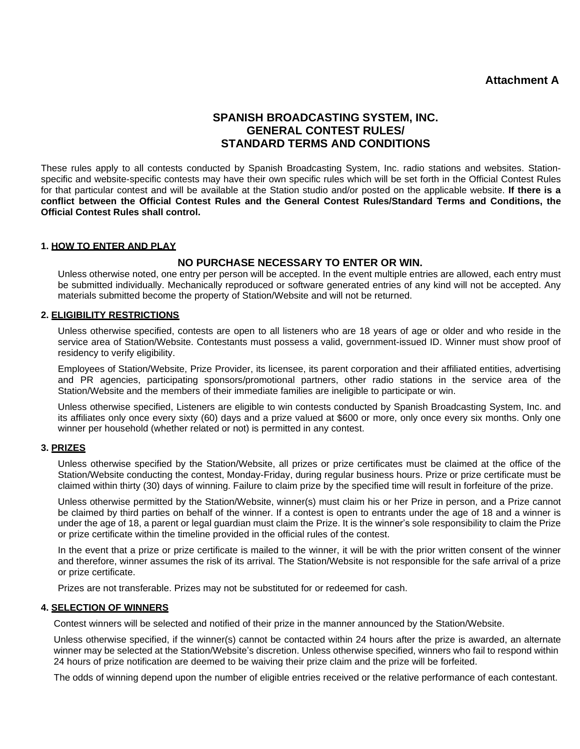## **Attachment A**

# **SPANISH BROADCASTING SYSTEM, INC. GENERAL CONTEST RULES/ STANDARD TERMS AND CONDITIONS**

These rules apply to all contests conducted by Spanish Broadcasting System, Inc. radio stations and websites. Stationspecific and website-specific contests may have their own specific rules which will be set forth in the Official Contest Rules for that particular contest and will be available at the Station studio and/or posted on the applicable website. **If there is a conflict between the Official Contest Rules and the General Contest Rules/Standard Terms and Conditions, the Official Contest Rules shall control.**

## **1. HOW TO ENTER AND PLAY**

## **NO PURCHASE NECESSARY TO ENTER OR WIN.**

Unless otherwise noted, one entry per person will be accepted. In the event multiple entries are allowed, each entry must be submitted individually. Mechanically reproduced or software generated entries of any kind will not be accepted. Any materials submitted become the property of Station/Website and will not be returned.

### **2. ELIGIBILITY RESTRICTIONS**

Unless otherwise specified, contests are open to all listeners who are 18 years of age or older and who reside in the service area of Station/Website. Contestants must possess a valid, government-issued ID. Winner must show proof of residency to verify eligibility.

Employees of Station/Website, Prize Provider, its licensee, its parent corporation and their affiliated entities, advertising and PR agencies, participating sponsors/promotional partners, other radio stations in the service area of the Station/Website and the members of their immediate families are ineligible to participate or win.

Unless otherwise specified, Listeners are eligible to win contests conducted by Spanish Broadcasting System, Inc. and its affiliates only once every sixty (60) days and a prize valued at \$600 or more, only once every six months. Only one winner per household (whether related or not) is permitted in any contest.

#### **3. PRIZES**

Unless otherwise specified by the Station/Website, all prizes or prize certificates must be claimed at the office of the Station/Website conducting the contest, Monday-Friday, during regular business hours. Prize or prize certificate must be claimed within thirty (30) days of winning. Failure to claim prize by the specified time will result in forfeiture of the prize.

Unless otherwise permitted by the Station/Website, winner(s) must claim his or her Prize in person, and a Prize cannot be claimed by third parties on behalf of the winner. If a contest is open to entrants under the age of 18 and a winner is under the age of 18, a parent or legal guardian must claim the Prize. It is the winner's sole responsibility to claim the Prize or prize certificate within the timeline provided in the official rules of the contest.

In the event that a prize or prize certificate is mailed to the winner, it will be with the prior written consent of the winner and therefore, winner assumes the risk of its arrival. The Station/Website is not responsible for the safe arrival of a prize or prize certificate.

Prizes are not transferable. Prizes may not be substituted for or redeemed for cash.

#### **4. SELECTION OF WINNERS**

Contest winners will be selected and notified of their prize in the manner announced by the Station/Website.

Unless otherwise specified, if the winner(s) cannot be contacted within 24 hours after the prize is awarded, an alternate winner may be selected at the Station/Website's discretion. Unless otherwise specified, winners who fail to respond within 24 hours of prize notification are deemed to be waiving their prize claim and the prize will be forfeited.

The odds of winning depend upon the number of eligible entries received or the relative performance of each contestant.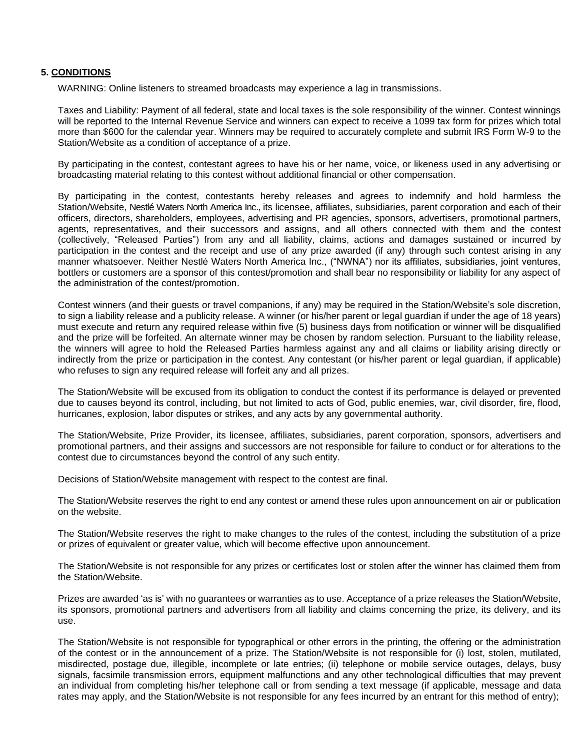#### **5. CONDITIONS**

WARNING: Online listeners to streamed broadcasts may experience a lag in transmissions.

Taxes and Liability: Payment of all federal, state and local taxes is the sole responsibility of the winner. Contest winnings will be reported to the Internal Revenue Service and winners can expect to receive a 1099 tax form for prizes which total more than \$600 for the calendar year. Winners may be required to accurately complete and submit IRS Form W-9 to the Station/Website as a condition of acceptance of a prize.

By participating in the contest, contestant agrees to have his or her name, voice, or likeness used in any advertising or broadcasting material relating to this contest without additional financial or other compensation.

By participating in the contest, contestants hereby releases and agrees to indemnify and hold harmless the Station/Website, Nestlé Waters North America Inc., its licensee, affiliates, subsidiaries, parent corporation and each of their officers, directors, shareholders, employees, advertising and PR agencies, sponsors, advertisers, promotional partners, agents, representatives, and their successors and assigns, and all others connected with them and the contest (collectively, "Released Parties") from any and all liability, claims, actions and damages sustained or incurred by participation in the contest and the receipt and use of any prize awarded (if any) through such contest arising in any manner whatsoever. Neither Nestlé Waters North America Inc., ("NWNA") nor its affiliates, subsidiaries, joint ventures, bottlers or customers are a sponsor of this contest/promotion and shall bear no responsibility or liability for any aspect of the administration of the contest/promotion.

Contest winners (and their guests or travel companions, if any) may be required in the Station/Website's sole discretion, to sign a liability release and a publicity release. A winner (or his/her parent or legal guardian if under the age of 18 years) must execute and return any required release within five (5) business days from notification or winner will be disqualified and the prize will be forfeited. An alternate winner may be chosen by random selection. Pursuant to the liability release, the winners will agree to hold the Released Parties harmless against any and all claims or liability arising directly or indirectly from the prize or participation in the contest. Any contestant (or his/her parent or legal guardian, if applicable) who refuses to sign any required release will forfeit any and all prizes.

The Station/Website will be excused from its obligation to conduct the contest if its performance is delayed or prevented due to causes beyond its control, including, but not limited to acts of God, public enemies, war, civil disorder, fire, flood, hurricanes, explosion, labor disputes or strikes, and any acts by any governmental authority.

The Station/Website, Prize Provider, its licensee, affiliates, subsidiaries, parent corporation, sponsors, advertisers and promotional partners, and their assigns and successors are not responsible for failure to conduct or for alterations to the contest due to circumstances beyond the control of any such entity.

Decisions of Station/Website management with respect to the contest are final.

The Station/Website reserves the right to end any contest or amend these rules upon announcement on air or publication on the website.

The Station/Website reserves the right to make changes to the rules of the contest, including the substitution of a prize or prizes of equivalent or greater value, which will become effective upon announcement.

The Station/Website is not responsible for any prizes or certificates lost or stolen after the winner has claimed them from the Station/Website.

Prizes are awarded 'as is' with no guarantees or warranties as to use. Acceptance of a prize releases the Station/Website, its sponsors, promotional partners and advertisers from all liability and claims concerning the prize, its delivery, and its use.

The Station/Website is not responsible for typographical or other errors in the printing, the offering or the administration of the contest or in the announcement of a prize. The Station/Website is not responsible for (i) lost, stolen, mutilated, misdirected, postage due, illegible, incomplete or late entries; (ii) telephone or mobile service outages, delays, busy signals, facsimile transmission errors, equipment malfunctions and any other technological difficulties that may prevent an individual from completing his/her telephone call or from sending a text message (if applicable, message and data rates may apply, and the Station/Website is not responsible for any fees incurred by an entrant for this method of entry);